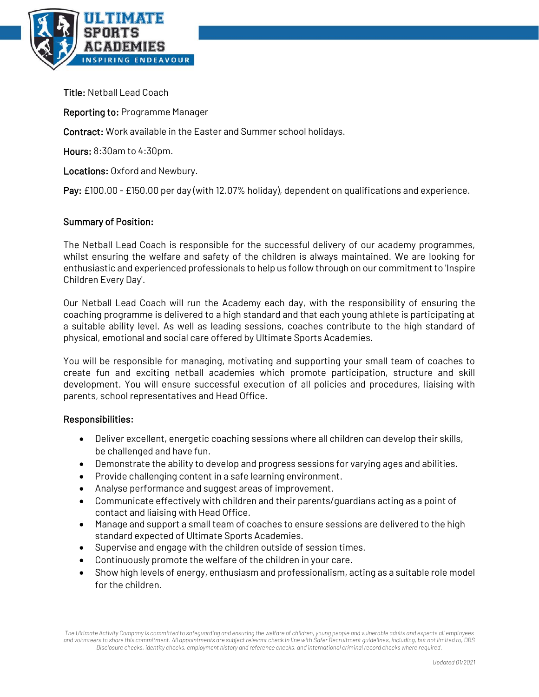

Title: Netball Lead Coach

Reporting to: Programme Manager

Contract: Work available in the Easter and Summer school holidays.

Hours: 8:30am to 4:30pm.

Locations: Oxford and Newbury.

Pay: £100.00 - £150.00 per day (with 12.07% holiday), dependent on qualifications and experience.

## Summary of Position:

The Netball Lead Coach is responsible for the successful delivery of our academy programmes, whilst ensuring the welfare and safety of the children is always maintained. We are looking for enthusiastic and experienced professionals to help us follow through on our commitment to 'Inspire Children Every Day'.

Our Netball Lead Coach will run the Academy each day, with the responsibility of ensuring the coaching programme is delivered to a high standard and that each young athlete is participating at a suitable ability level. As well as leading sessions, coaches contribute to the high standard of physical, emotional and social care offered by Ultimate Sports Academies.

You will be responsible for managing, motivating and supporting your small team of coaches to create fun and exciting netball academies which promote participation, structure and skill development. You will ensure successful execution of all policies and procedures, liaising with parents, school representatives and Head Office.

## Responsibilities:

- Deliver excellent, energetic coaching sessions where all children can develop their skills, be challenged and have fun.
- Demonstrate the ability to develop and progress sessions for varying ages and abilities.
- Provide challenging content in a safe learning environment.
- Analyse performance and suggest areas of improvement.
- Communicate effectively with children and their parents/guardians acting as a point of contact and liaising with Head Office.
- Manage and support a small team of coaches to ensure sessions are delivered to the high standard expected of Ultimate Sports Academies.
- Supervise and engage with the children outside of session times.
- Continuously promote the welfare of the children in your care.
- Show high levels of energy, enthusiasm and professionalism, acting as a suitable role model for the children.